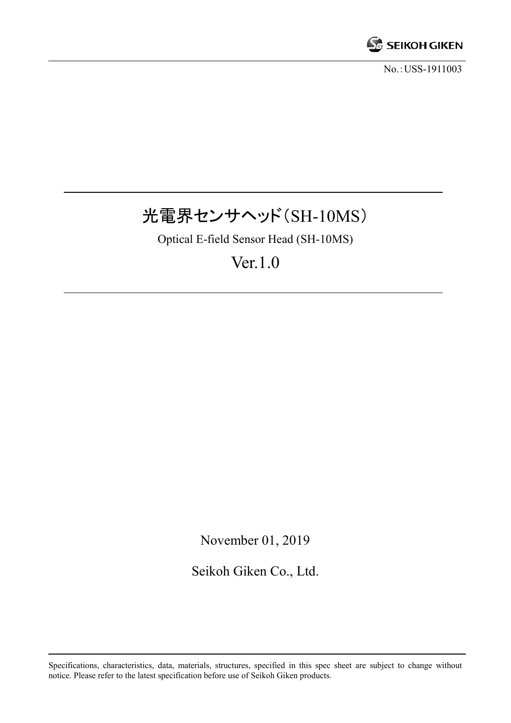

No.:USS-1911003

# 光電界センサヘッド(SH-10MS)

Optical E-field Sensor Head (SH-10MS)

# Ver.1.0

November 01, 2019

Seikoh Giken Co., Ltd.

Specifications, characteristics, data, materials, structures, specified in this spec sheet are subject to change without notice. Please refer to the latest specification before use of Seikoh Giken products.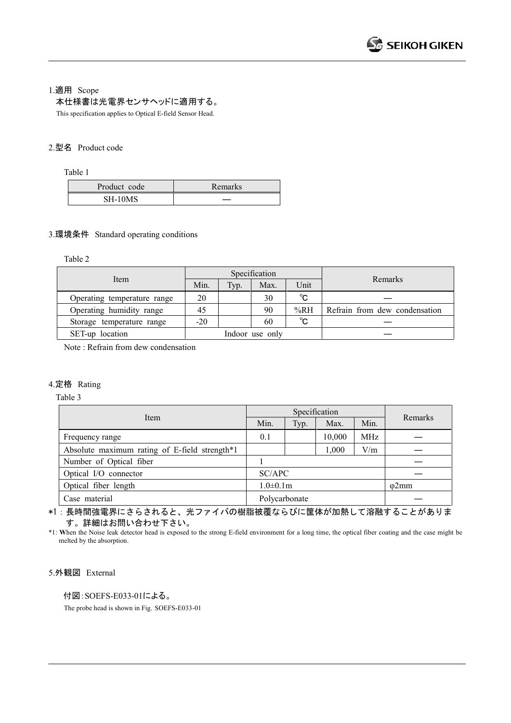1.適用 Scope

本仕様書は光電界センサヘッドに適用する。

This specification applies to Optical E-field Sensor Head.

### 2.型名 Product code

Table 1

| Product code | <b>Remarks</b> |
|--------------|----------------|
| SH-10MS      |                |

#### 3.環境条件 Standard operating conditions

Table 2

|                             |                 |      | Specification |              |                               |
|-----------------------------|-----------------|------|---------------|--------------|-------------------------------|
| Item                        | Min.            | Typ. | Max.          | Unit         | Remarks                       |
| Operating temperature range | 20              |      | 30            | $^{\circ}$ C |                               |
| Operating humidity range    | 45              |      | 90            | %RH          | Refrain from dew condensation |
| Storage temperature range   | $-20$           |      | 60            | $^{\circ}$ C |                               |
| SET-up location             | Indoor use only |      |               |              |                               |

Note : Refrain from dew condensation

# 4.定格 Rating

Table 3

| Item                                          |                 | Specification | Remarks |               |  |  |
|-----------------------------------------------|-----------------|---------------|---------|---------------|--|--|
|                                               | Min.            | Typ.          | Max.    | Min.          |  |  |
| Frequency range                               | 0.1             |               | 10,000  | MHz           |  |  |
| Absolute maximum rating of E-field strength*1 |                 |               | 1,000   | V/m           |  |  |
| Number of Optical fiber                       |                 |               |         |               |  |  |
| Optical I/O connector                         | SC/APC          |               |         |               |  |  |
| Optical fiber length                          | $1.0 \pm 0.1$ m |               |         | $\varphi$ 2mm |  |  |
| Case material                                 | Polycarbonate   |               |         |               |  |  |

\*1:長時間強電界にさらされると、光ファイバの樹脂被覆ならびに筐体が加熱して溶融することがありま す。詳細はお問い合わせ下さい。

\*1: **W**hen the Noise leak detector head is exposed to the strong E-field environment for a long time, the optical fiber coating and the case might be melted by the absorption.

5.外観図 External

付図:SOEFS-E033-01による。

The probe head is shown in Fig. SOEFS-E033-01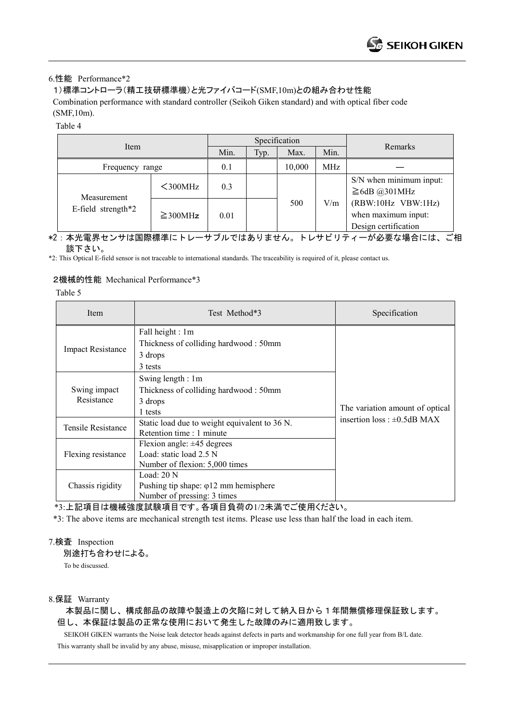#### 6.性能 Performance\*2

## 1)標準コントローラ(精工技研標準機)と光ファイバコード(SMF,10m)との組み合わせ性能

Combination performance with standard controller (Seikoh Giken standard) and with optical fiber code (SMF,10m).

Table 4

| Item                              |               | Specification |      |        |      |                                                                   |
|-----------------------------------|---------------|---------------|------|--------|------|-------------------------------------------------------------------|
|                                   |               | Min.          | Typ. | Max.   | Min. | Remarks                                                           |
| Frequency range                   |               | 0.1           |      | 10,000 | MHz  |                                                                   |
| Measurement<br>E-field strength*2 | $300MHz$      | 0.3           |      |        |      | S/N when minimum input:<br>$\geq$ 6dB @301MHz                     |
|                                   | $\geq$ 300MHz | 0.01          |      | 500    | V/m  | (RBW:10Hz VBW:1Hz)<br>when maximum input:<br>Design certification |

\*2:本光電界センサは国際標準にトレーサブルではありません。トレサビリティーが必要な場合には、ご相 談下さい。

\*2: This Optical E-field sensor is not traceable to international standards. The traceability is required of it, please contact us.

#### 2機械的性能 Mechanical Performance\*3

Table 5

| Item                                                                                                               | Test Method*3                                                                                | Specification                     |  |  |
|--------------------------------------------------------------------------------------------------------------------|----------------------------------------------------------------------------------------------|-----------------------------------|--|--|
| <b>Impact Resistance</b>                                                                                           | Fall height : 1m<br>Thickness of colliding hardwood: 50mm<br>3 drops<br>3 tests              | The variation amount of optical   |  |  |
| Swing impact<br>Resistance                                                                                         | Swing length: 1m<br>Thickness of colliding hardwood: 50mm<br>3 drops<br>1 tests              |                                   |  |  |
| Tensile Resistance                                                                                                 | Static load due to weight equivalent to 36 N.<br>Retention time : 1 minute                   | insertion loss : $\pm 0.5$ dB MAX |  |  |
| Flexion angle: $\pm 45$ degrees<br>Load: static load 2.5 N<br>Flexing resistance<br>Number of flexion: 5,000 times |                                                                                              |                                   |  |  |
| Chassis rigidity                                                                                                   | Load: $20 N$<br>Pushing tip shape: $\varphi$ 12 mm hemisphere<br>Number of pressing: 3 times |                                   |  |  |

\*3:上記項目は機械強度試験項目です。各項目負荷の1/2未満でご使用ください。

\*3: The above items are mechanical strength test items. Please use less than half the load in each item.

#### 7.検査 Inspection

別途打ち合わせによる。 To be discussed.

#### 8.保証 Warranty

本製品に関し、構成部品の故障や製造上の欠陥に対して納入日から1年間無償修理保証致します。 但し、本保証は製品の正常な使用において発生した故障のみに適用致します。

 SEIKOH GIKEN warrants the Noise leak detector heads against defects in parts and workmanship for one full year from B/L date. This warranty shall be invalid by any abuse, misuse, misapplication or improper installation.